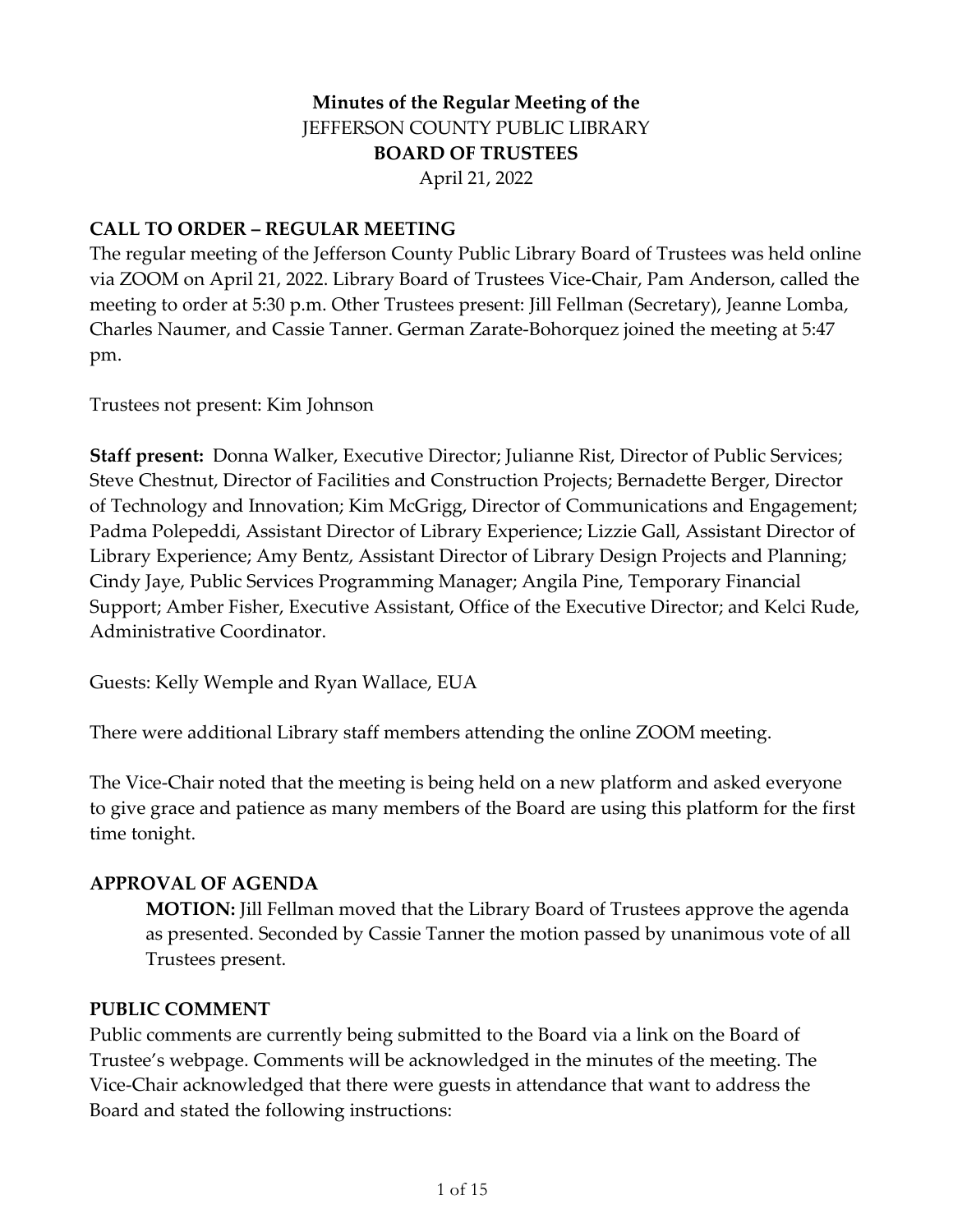## **Minutes of the Regular Meeting of the** JEFFERSON COUNTY PUBLIC LIBRARY **BOARD OF TRUSTEES** April 21, 2022

#### **CALL TO ORDER – REGULAR MEETING**

The regular meeting of the Jefferson County Public Library Board of Trustees was held online via ZOOM on April 21, 2022. Library Board of Trustees Vice-Chair, Pam Anderson, called the meeting to order at 5:30 p.m. Other Trustees present: Jill Fellman (Secretary), Jeanne Lomba, Charles Naumer, and Cassie Tanner. German Zarate-Bohorquez joined the meeting at 5:47 pm.

Trustees not present: Kim Johnson

**Staff present:** Donna Walker, Executive Director; Julianne Rist, Director of Public Services; Steve Chestnut, Director of Facilities and Construction Projects; Bernadette Berger, Director of Technology and Innovation; Kim McGrigg, Director of Communications and Engagement; Padma Polepeddi, Assistant Director of Library Experience; Lizzie Gall, Assistant Director of Library Experience; Amy Bentz, Assistant Director of Library Design Projects and Planning; Cindy Jaye, Public Services Programming Manager; Angila Pine, Temporary Financial Support; Amber Fisher, Executive Assistant, Office of the Executive Director; and Kelci Rude, Administrative Coordinator.

Guests: Kelly Wemple and Ryan Wallace, EUA

There were additional Library staff members attending the online ZOOM meeting.

The Vice-Chair noted that the meeting is being held on a new platform and asked everyone to give grace and patience as many members of the Board are using this platform for the first time tonight.

#### **APPROVAL OF AGENDA**

**MOTION:** Jill Fellman moved that the Library Board of Trustees approve the agenda as presented. Seconded by Cassie Tanner the motion passed by unanimous vote of all Trustees present.

#### **PUBLIC COMMENT**

Public comments are currently being submitted to the Board via a link on the Board of Trustee's webpage. Comments will be acknowledged in the minutes of the meeting. The Vice-Chair acknowledged that there were guests in attendance that want to address the Board and stated the following instructions: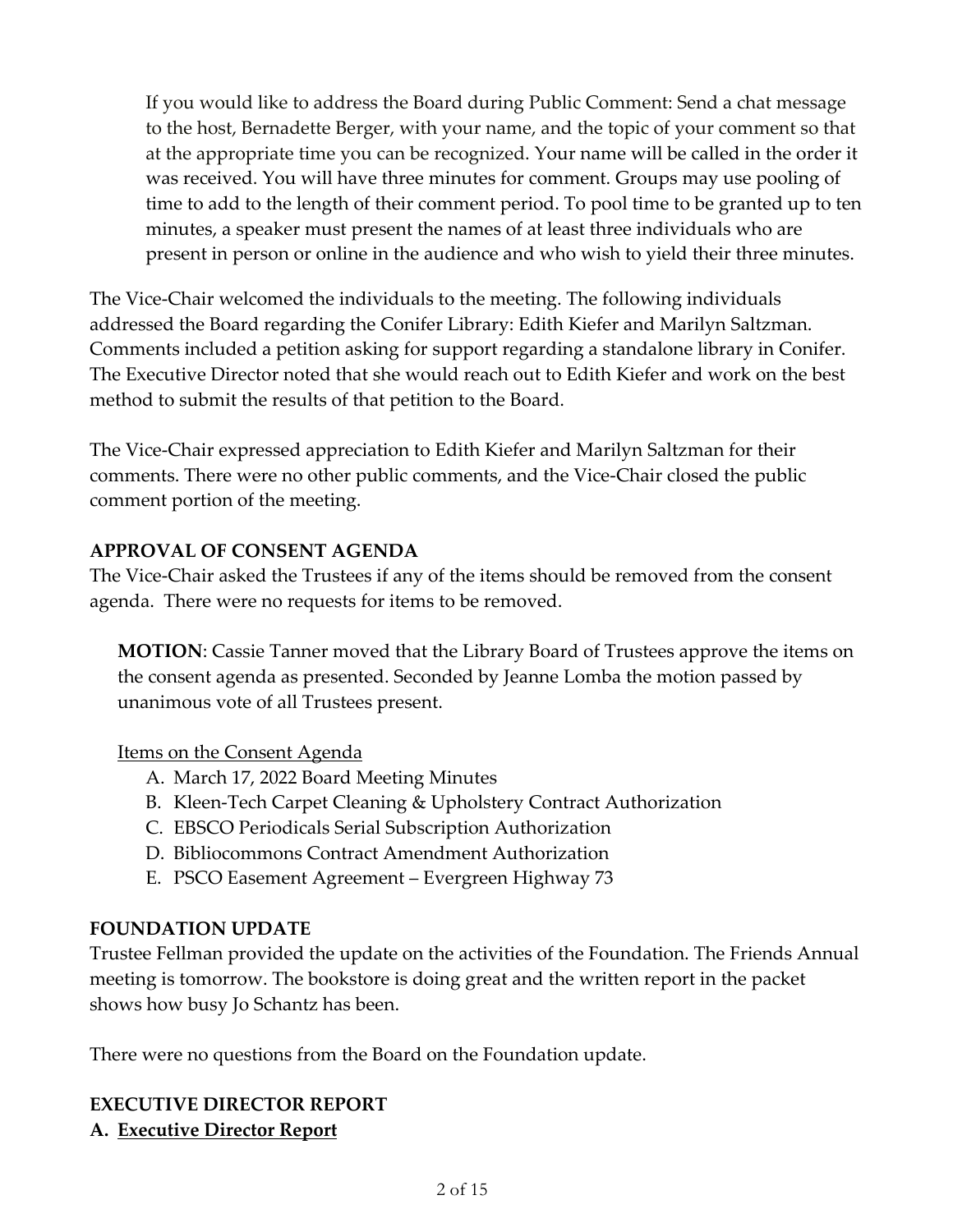If you would like to address the Board during Public Comment: Send a chat message to the host, Bernadette Berger, with your name, and the topic of your comment so that at the appropriate time you can be recognized. Your name will be called in the order it was received. You will have three minutes for comment. Groups may use pooling of time to add to the length of their comment period. To pool time to be granted up to ten minutes, a speaker must present the names of at least three individuals who are present in person or online in the audience and who wish to yield their three minutes.

The Vice-Chair welcomed the individuals to the meeting. The following individuals addressed the Board regarding the Conifer Library: Edith Kiefer and Marilyn Saltzman. Comments included a petition asking for support regarding a standalone library in Conifer. The Executive Director noted that she would reach out to Edith Kiefer and work on the best method to submit the results of that petition to the Board.

The Vice-Chair expressed appreciation to Edith Kiefer and Marilyn Saltzman for their comments. There were no other public comments, and the Vice-Chair closed the public comment portion of the meeting.

#### **APPROVAL OF CONSENT AGENDA**

The Vice-Chair asked the Trustees if any of the items should be removed from the consent agenda. There were no requests for items to be removed.

**MOTION**: Cassie Tanner moved that the Library Board of Trustees approve the items on the consent agenda as presented. Seconded by Jeanne Lomba the motion passed by unanimous vote of all Trustees present.

## Items on the Consent Agenda

- A. March 17, 2022 Board Meeting Minutes
- B. Kleen-Tech Carpet Cleaning & Upholstery Contract Authorization
- C. EBSCO Periodicals Serial Subscription Authorization
- D. Bibliocommons Contract Amendment Authorization
- E. PSCO Easement Agreement Evergreen Highway 73

## **FOUNDATION UPDATE**

Trustee Fellman provided the update on the activities of the Foundation. The Friends Annual meeting is tomorrow. The bookstore is doing great and the written report in the packet shows how busy Jo Schantz has been.

There were no questions from the Board on the Foundation update.

## **EXECUTIVE DIRECTOR REPORT A. Executive Director Report**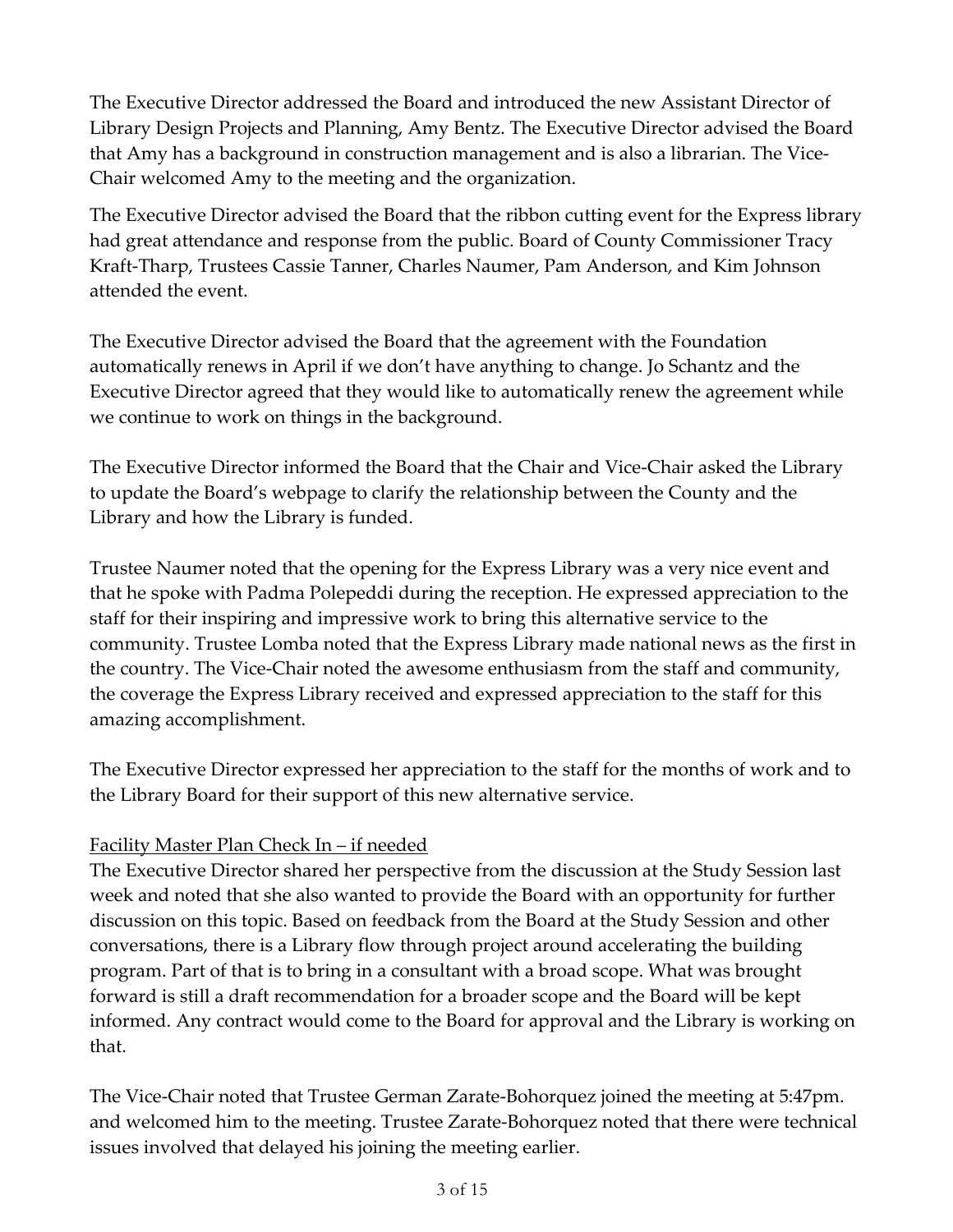The Executive Director addressed the Board and introduced the new Assistant Director of Library Design Projects and Planning, Amy Bentz. The Executive Director advised the Board that Amy has a background in construction management and is also a librarian. The Vice-Chair welcomed Amy to the meeting and the organization.

The Executive Director advised the Board that the ribbon cutting event for the Express library had great attendance and response from the public. Board of County Commissioner Tracy Kraft-Tharp, Trustees Cassie Tanner, Charles Naumer, Pam Anderson, and Kim Johnson attended the event.

The Executive Director advised the Board that the agreement with the Foundation automatically renews in April if we don't have anything to change. Jo Schantz and the Executive Director agreed that they would like to automatically renew the agreement while we continue to work on things in the background.

The Executive Director informed the Board that the Chair and Vice-Chair asked the Library to update the Board's webpage to clarify the relationship between the County and the Library and how the Library is funded.

Trustee Naumer noted that the opening for the Express Library was a very nice event and that he spoke with Padma Polepeddi during the reception. He expressed appreciation to the staff for their inspiring and impressive work to bring this alternative service to the community. Trustee Lomba noted that the Express Library made national news as the first in the country. The Vice-Chair noted the awesome enthusiasm from the staff and community, the coverage the Express Library received and expressed appreciation to the staff for this amazing accomplishment.

The Executive Director expressed her appreciation to the staff for the months of work and to the Library Board for their support of this new alternative service.

## Facility Master Plan Check In – if needed

The Executive Director shared her perspective from the discussion at the Study Session last week and noted that she also wanted to provide the Board with an opportunity for further discussion on this topic. Based on feedback from the Board at the Study Session and other conversations, there is a Library flow through project around accelerating the building program. Part of that is to bring in a consultant with a broad scope. What was brought forward is still a draft recommendation for a broader scope and the Board will be kept informed. Any contract would come to the Board for approval and the Library is working on that.

The Vice-Chair noted that Trustee German Zarate-Bohorquez joined the meeting at 5:47pm. and welcomed him to the meeting. Trustee Zarate-Bohorquez noted that there were technical issues involved that delayed his joining the meeting earlier.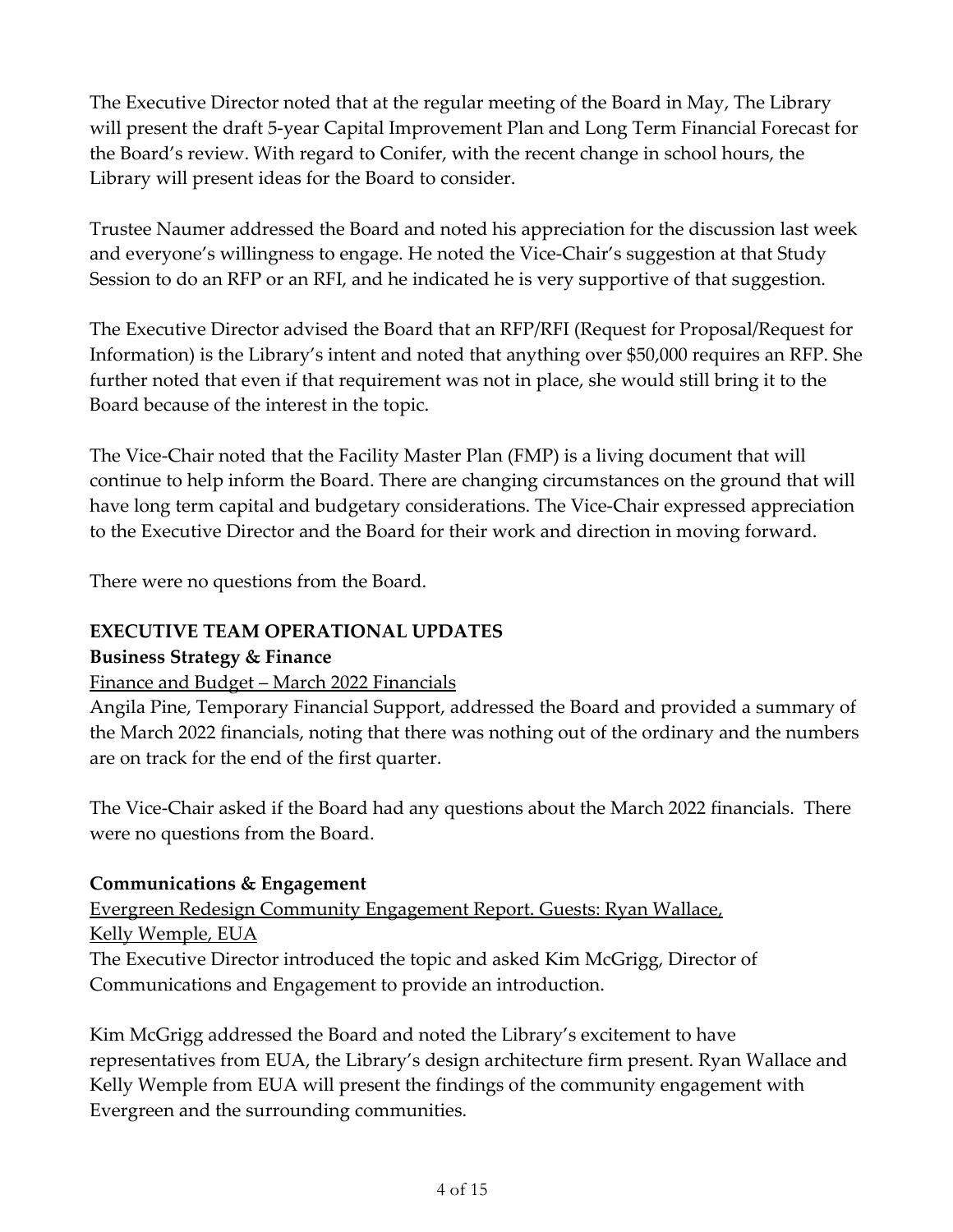The Executive Director noted that at the regular meeting of the Board in May, The Library will present the draft 5-year Capital Improvement Plan and Long Term Financial Forecast for the Board's review. With regard to Conifer, with the recent change in school hours, the Library will present ideas for the Board to consider.

Trustee Naumer addressed the Board and noted his appreciation for the discussion last week and everyone's willingness to engage. He noted the Vice-Chair's suggestion at that Study Session to do an RFP or an RFI, and he indicated he is very supportive of that suggestion.

The Executive Director advised the Board that an RFP/RFI (Request for Proposal/Request for Information) is the Library's intent and noted that anything over \$50,000 requires an RFP. She further noted that even if that requirement was not in place, she would still bring it to the Board because of the interest in the topic.

The Vice-Chair noted that the Facility Master Plan (FMP) is a living document that will continue to help inform the Board. There are changing circumstances on the ground that will have long term capital and budgetary considerations. The Vice-Chair expressed appreciation to the Executive Director and the Board for their work and direction in moving forward.

There were no questions from the Board.

# **EXECUTIVE TEAM OPERATIONAL UPDATES**

#### **Business Strategy & Finance**

## Finance and Budget – March 2022 Financials

Angila Pine, Temporary Financial Support, addressed the Board and provided a summary of the March 2022 financials, noting that there was nothing out of the ordinary and the numbers are on track for the end of the first quarter.

The Vice-Chair asked if the Board had any questions about the March 2022 financials. There were no questions from the Board.

#### **Communications & Engagement**

Evergreen Redesign Community Engagement Report. Guests: Ryan Wallace, Kelly Wemple, EUA The Executive Director introduced the topic and asked Kim McGrigg, Director of

Communications and Engagement to provide an introduction.

Kim McGrigg addressed the Board and noted the Library's excitement to have representatives from EUA, the Library's design architecture firm present. Ryan Wallace and Kelly Wemple from EUA will present the findings of the community engagement with Evergreen and the surrounding communities.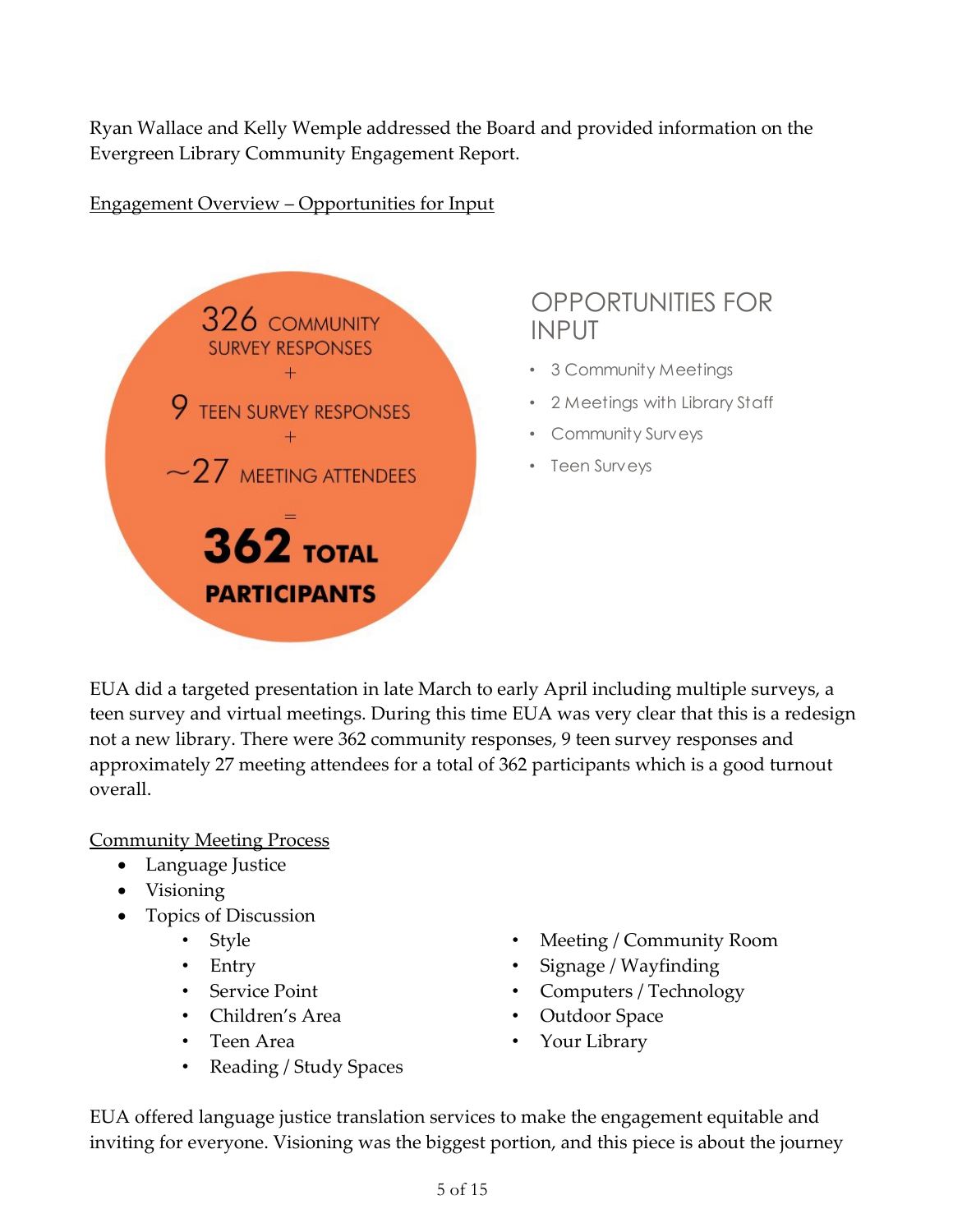Ryan Wallace and Kelly Wemple addressed the Board and provided information on the Evergreen Library Community Engagement Report.

#### Engagement Overview – Opportunities for Input



# OPPORTUNITIES FOR INPUT

- 3 Community Meetings
- 2 Meetings with Library Staff
- Community Surveys
- Teen Surveys

EUA did a targeted presentation in late March to early April including multiple surveys, a teen survey and virtual meetings. During this time EUA was very clear that this is a redesign not a new library. There were 362 community responses, 9 teen survey responses and approximately 27 meeting attendees for a total of 362 participants which is a good turnout overall.

Community Meeting Process

- Language Justice
- Visioning
- Topics of Discussion
	- Style
	- Entry
	- Service Point
	- Children's Area
	- Teen Area
	- Reading / Study Spaces
- Meeting / Community Room
- Signage / Wayfinding
- Computers / Technology
- Outdoor Space
- Your Library

EUA offered language justice translation services to make the engagement equitable and inviting for everyone. Visioning was the biggest portion, and this piece is about the journey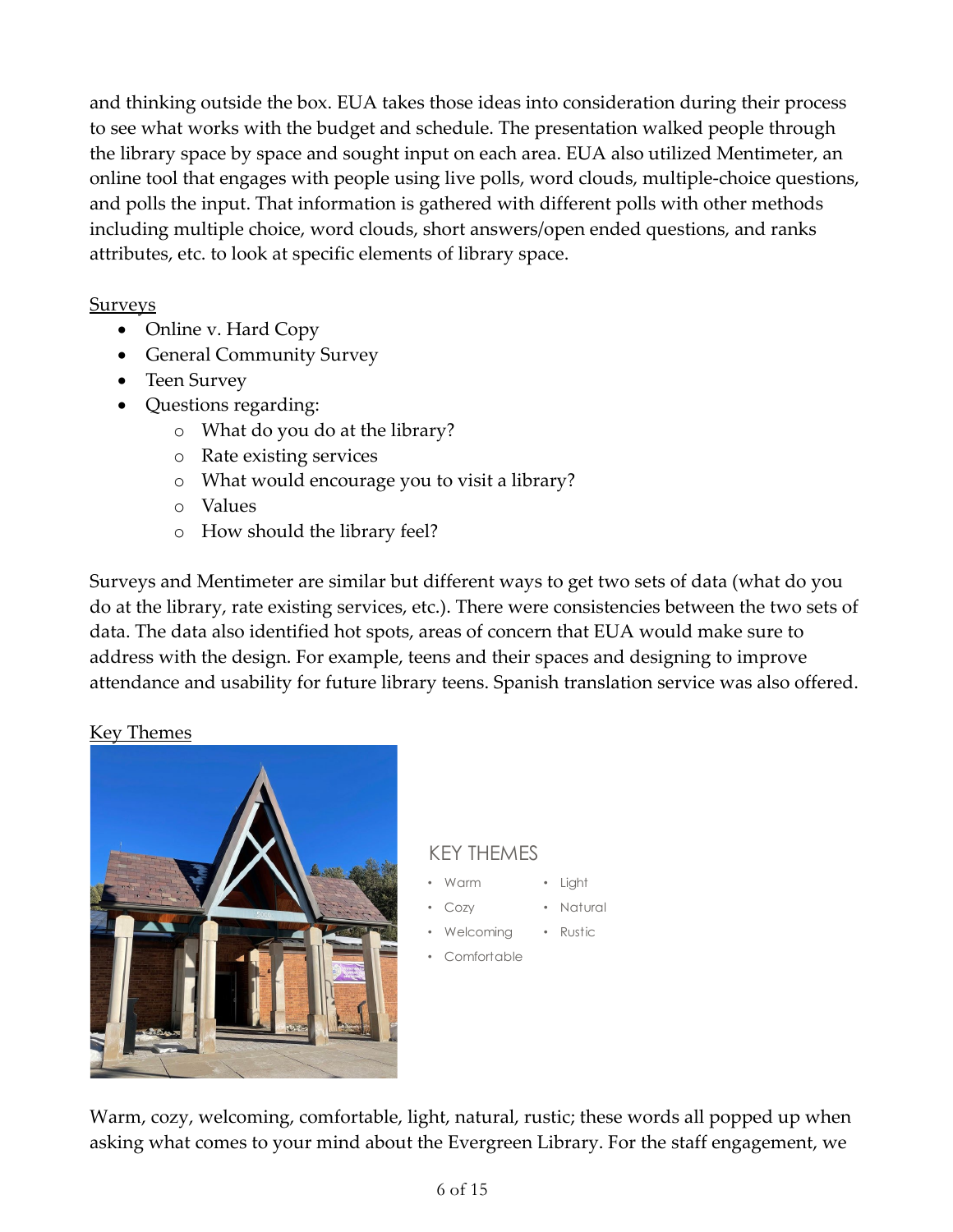and thinking outside the box. EUA takes those ideas into consideration during their process to see what works with the budget and schedule. The presentation walked people through the library space by space and sought input on each area. EUA also utilized Mentimeter, an online tool that engages with people using live polls, word clouds, multiple-choice questions, and polls the input. That information is gathered with different polls with other methods including multiple choice, word clouds, short answers/open ended questions, and ranks attributes, etc. to look at specific elements of library space.

#### Surveys

- Online v. Hard Copy
- General Community Survey
- Teen Survey
- Questions regarding:
	- o What do you do at the library?
	- o Rate existing services
	- o What would encourage you to visit a library?
	- o Values
	- o How should the library feel?

Surveys and Mentimeter are similar but different ways to get two sets of data (what do you do at the library, rate existing services, etc.). There were consistencies between the two sets of data. The data also identified hot spots, areas of concern that EUA would make sure to address with the design. For example, teens and their spaces and designing to improve attendance and usability for future library teens. Spanish translation service was also offered.

## Key Themes



# KEY THEMES

- Warm • Light
- Cozy • Natural
- **Welcoming** • Rustic
- **Comfortable**

Warm, cozy, welcoming, comfortable, light, natural, rustic; these words all popped up when asking what comes to your mind about the Evergreen Library. For the staff engagement, we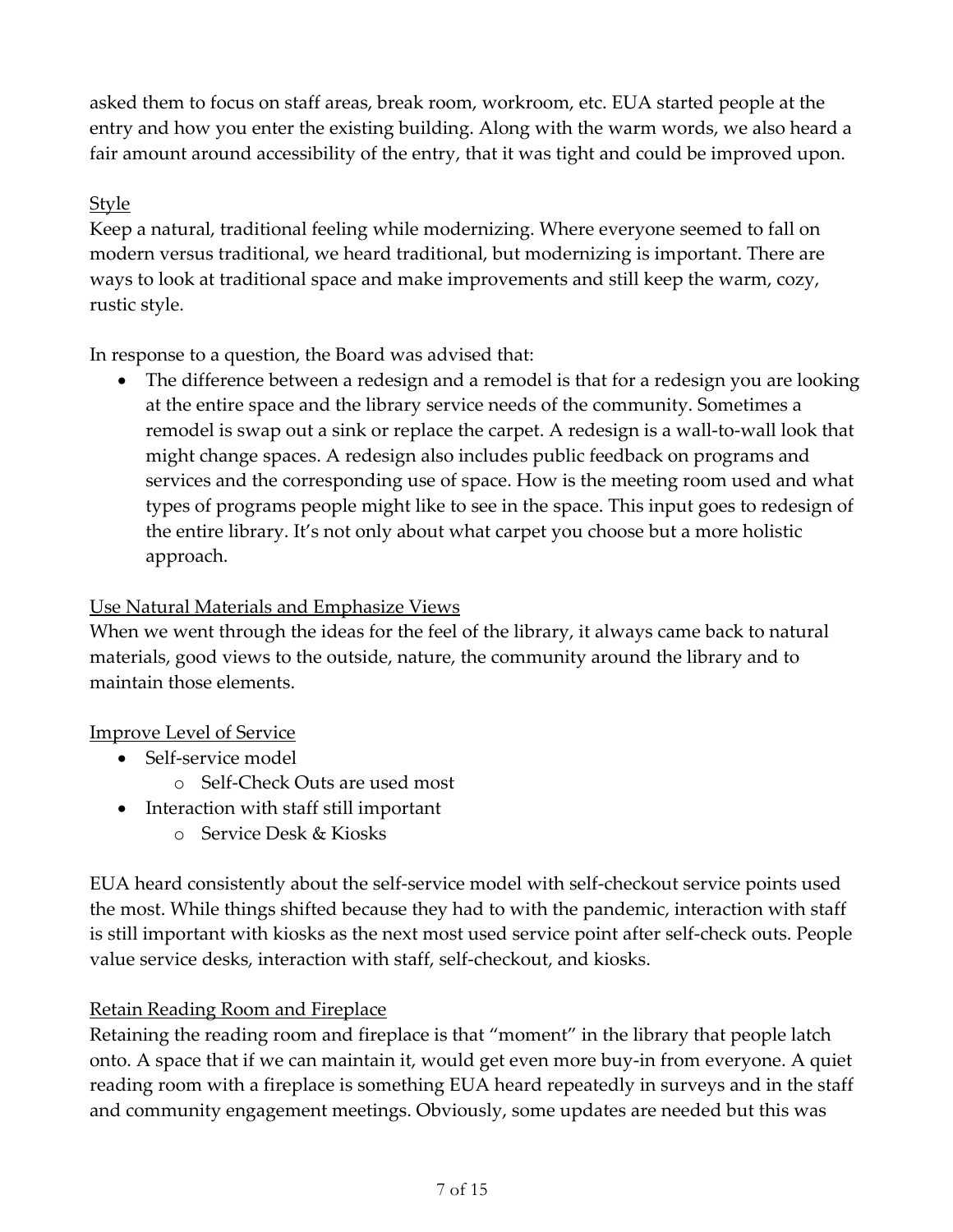asked them to focus on staff areas, break room, workroom, etc. EUA started people at the entry and how you enter the existing building. Along with the warm words, we also heard a fair amount around accessibility of the entry, that it was tight and could be improved upon.

## Style

Keep a natural, traditional feeling while modernizing. Where everyone seemed to fall on modern versus traditional, we heard traditional, but modernizing is important. There are ways to look at traditional space and make improvements and still keep the warm, cozy, rustic style.

In response to a question, the Board was advised that:

• The difference between a redesign and a remodel is that for a redesign you are looking at the entire space and the library service needs of the community. Sometimes a remodel is swap out a sink or replace the carpet. A redesign is a wall-to-wall look that might change spaces. A redesign also includes public feedback on programs and services and the corresponding use of space. How is the meeting room used and what types of programs people might like to see in the space. This input goes to redesign of the entire library. It's not only about what carpet you choose but a more holistic approach.

#### Use Natural Materials and Emphasize Views

When we went through the ideas for the feel of the library, it always came back to natural materials, good views to the outside, nature, the community around the library and to maintain those elements.

## Improve Level of Service

- Self-service model
	- o Self-Check Outs are used most
- Interaction with staff still important
	- o Service Desk & Kiosks

EUA heard consistently about the self-service model with self-checkout service points used the most. While things shifted because they had to with the pandemic, interaction with staff is still important with kiosks as the next most used service point after self-check outs. People value service desks, interaction with staff, self-checkout, and kiosks.

## Retain Reading Room and Fireplace

Retaining the reading room and fireplace is that "moment" in the library that people latch onto. A space that if we can maintain it, would get even more buy-in from everyone. A quiet reading room with a fireplace is something EUA heard repeatedly in surveys and in the staff and community engagement meetings. Obviously, some updates are needed but this was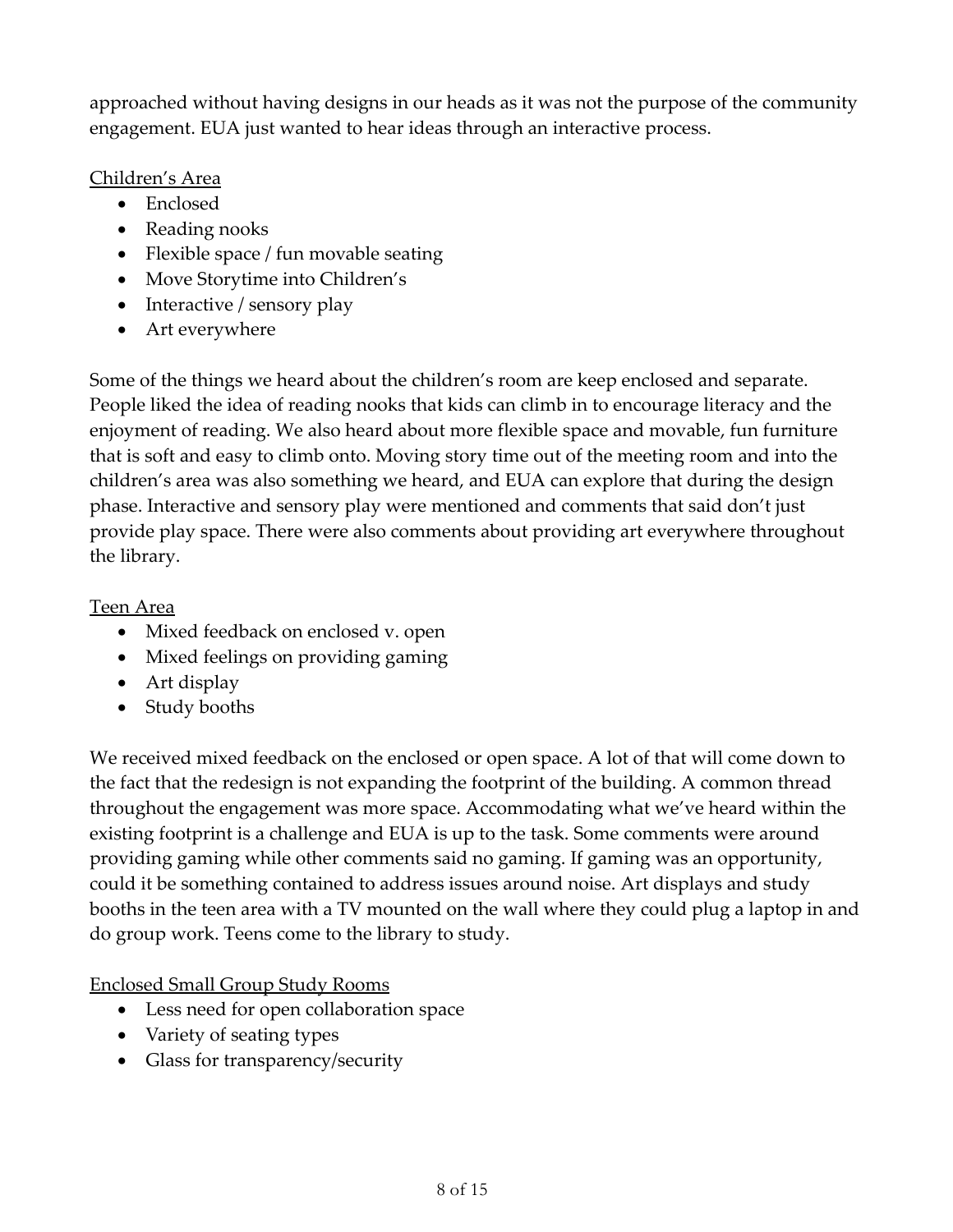approached without having designs in our heads as it was not the purpose of the community engagement. EUA just wanted to hear ideas through an interactive process.

#### Children's Area

- Enclosed
- Reading nooks
- Flexible space / fun movable seating
- Move Storytime into Children's
- Interactive / sensory play
- Art everywhere

Some of the things we heard about the children's room are keep enclosed and separate. People liked the idea of reading nooks that kids can climb in to encourage literacy and the enjoyment of reading. We also heard about more flexible space and movable, fun furniture that is soft and easy to climb onto. Moving story time out of the meeting room and into the children's area was also something we heard, and EUA can explore that during the design phase. Interactive and sensory play were mentioned and comments that said don't just provide play space. There were also comments about providing art everywhere throughout the library.

## Teen Area

- Mixed feedback on enclosed v. open
- Mixed feelings on providing gaming
- Art display
- Study booths

We received mixed feedback on the enclosed or open space. A lot of that will come down to the fact that the redesign is not expanding the footprint of the building. A common thread throughout the engagement was more space. Accommodating what we've heard within the existing footprint is a challenge and EUA is up to the task. Some comments were around providing gaming while other comments said no gaming. If gaming was an opportunity, could it be something contained to address issues around noise. Art displays and study booths in the teen area with a TV mounted on the wall where they could plug a laptop in and do group work. Teens come to the library to study.

Enclosed Small Group Study Rooms

- Less need for open collaboration space
- Variety of seating types
- Glass for transparency/security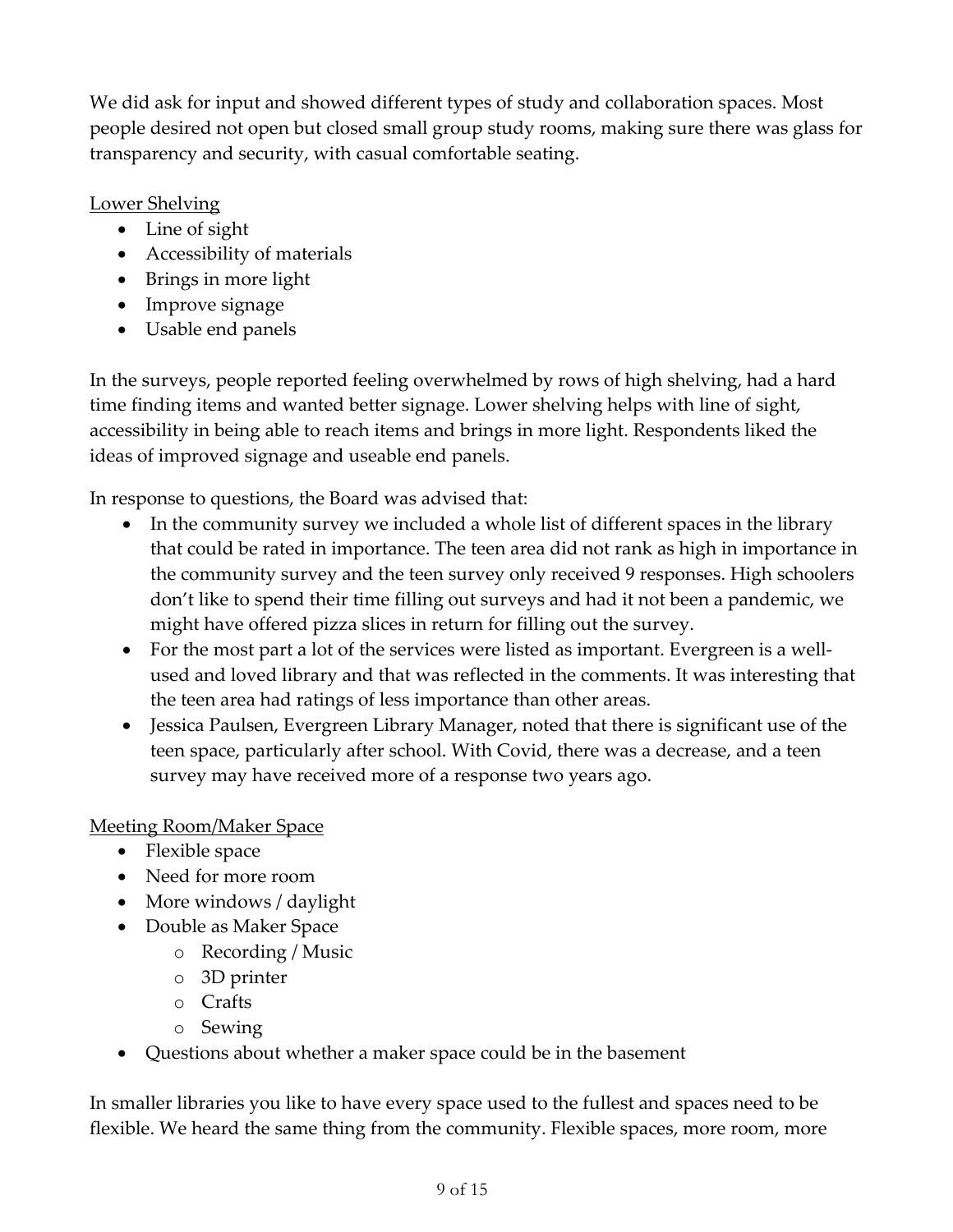We did ask for input and showed different types of study and collaboration spaces. Most people desired not open but closed small group study rooms, making sure there was glass for transparency and security, with casual comfortable seating.

# Lower Shelving

- Line of sight
- Accessibility of materials
- Brings in more light
- Improve signage
- Usable end panels

In the surveys, people reported feeling overwhelmed by rows of high shelving, had a hard time finding items and wanted better signage. Lower shelving helps with line of sight, accessibility in being able to reach items and brings in more light. Respondents liked the ideas of improved signage and useable end panels.

In response to questions, the Board was advised that:

- In the community survey we included a whole list of different spaces in the library that could be rated in importance. The teen area did not rank as high in importance in the community survey and the teen survey only received 9 responses. High schoolers don't like to spend their time filling out surveys and had it not been a pandemic, we might have offered pizza slices in return for filling out the survey.
- For the most part a lot of the services were listed as important. Evergreen is a wellused and loved library and that was reflected in the comments. It was interesting that the teen area had ratings of less importance than other areas.
- Jessica Paulsen, Evergreen Library Manager, noted that there is significant use of the teen space, particularly after school. With Covid, there was a decrease, and a teen survey may have received more of a response two years ago.

## Meeting Room/Maker Space

- Flexible space
- Need for more room
- More windows / daylight
- Double as Maker Space
	- o Recording / Music
	- o 3D printer
	- o Crafts
	- o Sewing
- Questions about whether a maker space could be in the basement

In smaller libraries you like to have every space used to the fullest and spaces need to be flexible. We heard the same thing from the community. Flexible spaces, more room, more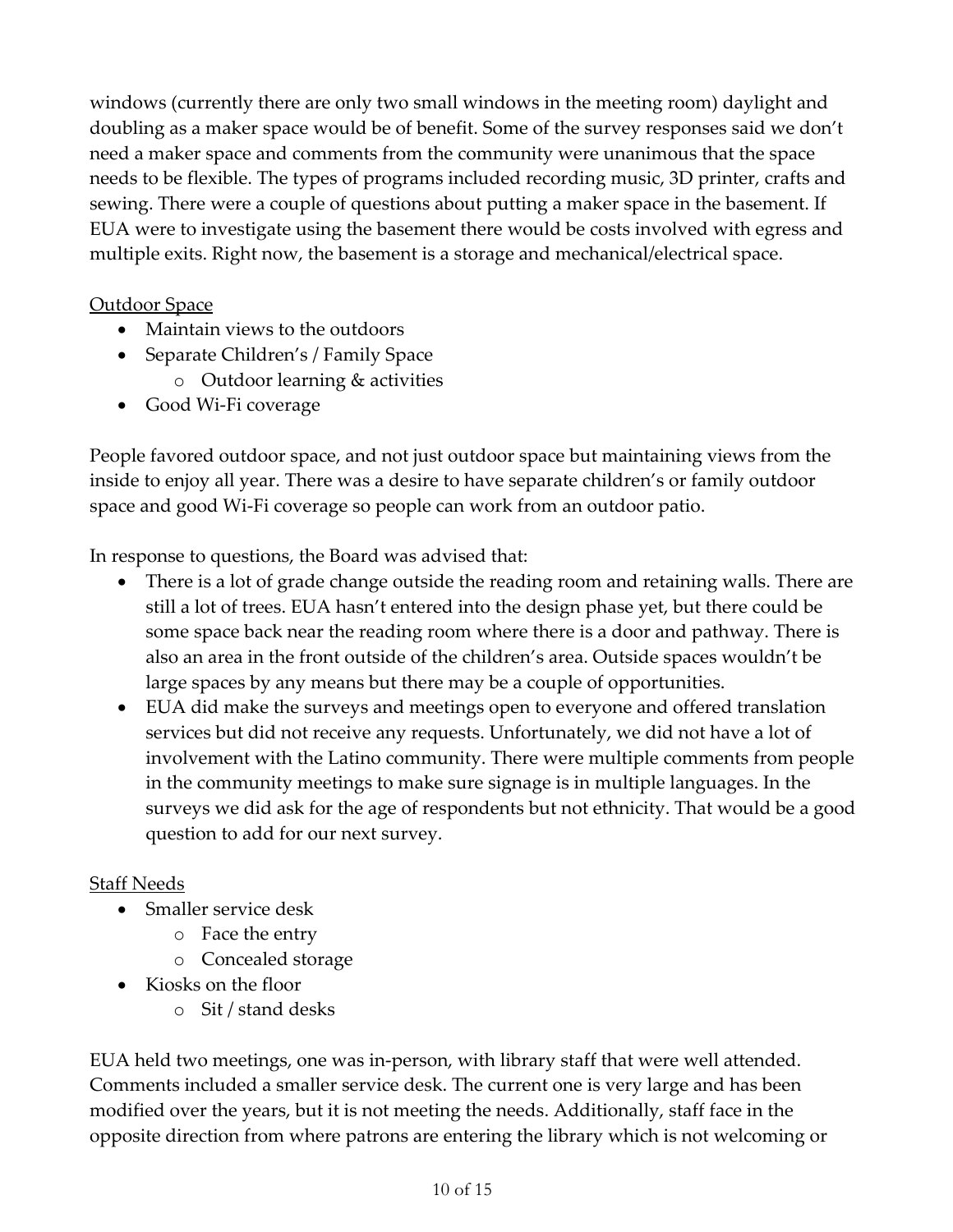windows (currently there are only two small windows in the meeting room) daylight and doubling as a maker space would be of benefit. Some of the survey responses said we don't need a maker space and comments from the community were unanimous that the space needs to be flexible. The types of programs included recording music, 3D printer, crafts and sewing. There were a couple of questions about putting a maker space in the basement. If EUA were to investigate using the basement there would be costs involved with egress and multiple exits. Right now, the basement is a storage and mechanical/electrical space.

#### Outdoor Space

- Maintain views to the outdoors
- Separate Children's / Family Space
	- o Outdoor learning & activities
- Good Wi-Fi coverage

People favored outdoor space, and not just outdoor space but maintaining views from the inside to enjoy all year. There was a desire to have separate children's or family outdoor space and good Wi-Fi coverage so people can work from an outdoor patio.

In response to questions, the Board was advised that:

- There is a lot of grade change outside the reading room and retaining walls. There are still a lot of trees. EUA hasn't entered into the design phase yet, but there could be some space back near the reading room where there is a door and pathway. There is also an area in the front outside of the children's area. Outside spaces wouldn't be large spaces by any means but there may be a couple of opportunities.
- EUA did make the surveys and meetings open to everyone and offered translation services but did not receive any requests. Unfortunately, we did not have a lot of involvement with the Latino community. There were multiple comments from people in the community meetings to make sure signage is in multiple languages. In the surveys we did ask for the age of respondents but not ethnicity. That would be a good question to add for our next survey.

#### Staff Needs

- Smaller service desk
	- o Face the entry
	- o Concealed storage
- Kiosks on the floor
	- o Sit / stand desks

EUA held two meetings, one was in-person, with library staff that were well attended. Comments included a smaller service desk. The current one is very large and has been modified over the years, but it is not meeting the needs. Additionally, staff face in the opposite direction from where patrons are entering the library which is not welcoming or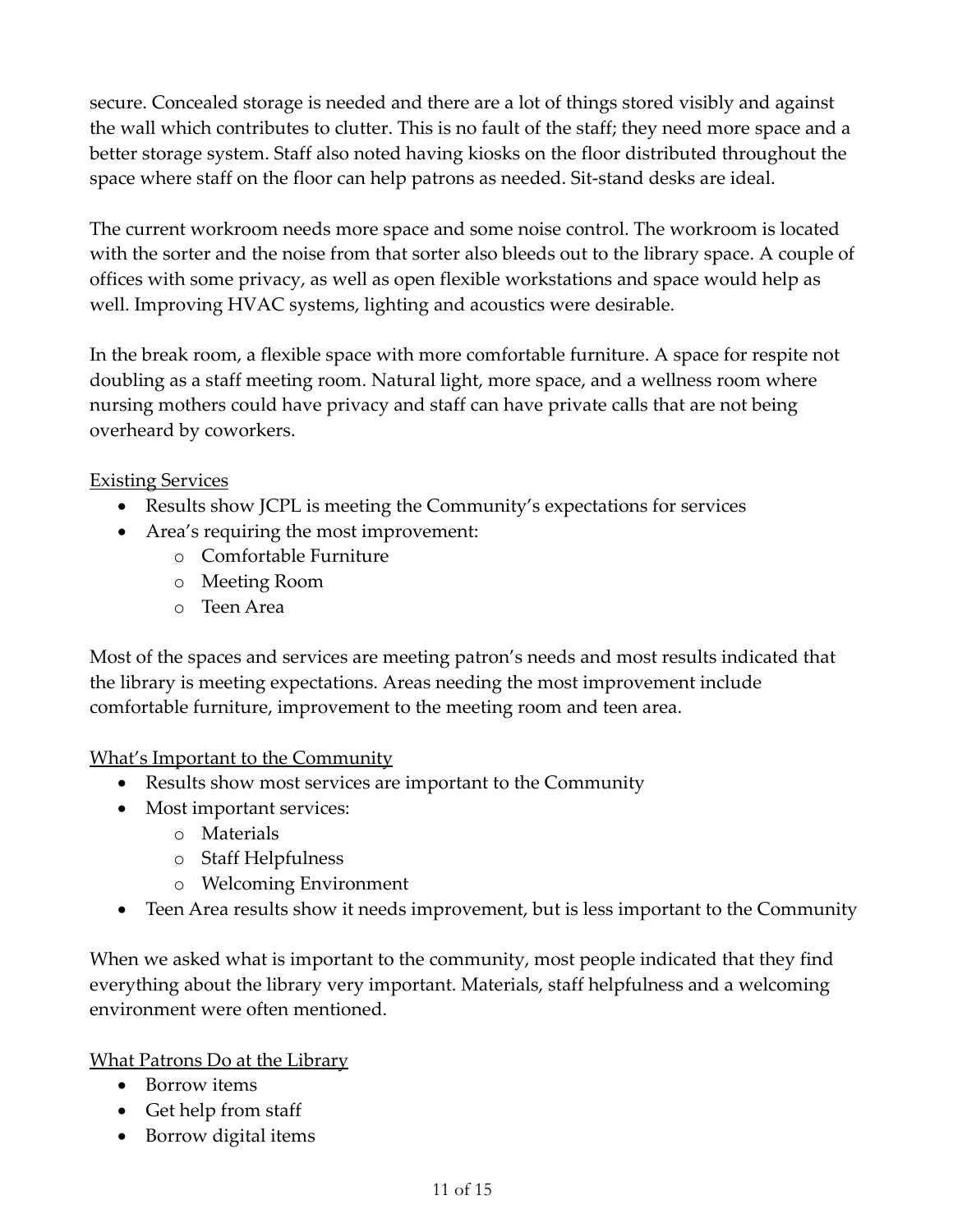secure. Concealed storage is needed and there are a lot of things stored visibly and against the wall which contributes to clutter. This is no fault of the staff; they need more space and a better storage system. Staff also noted having kiosks on the floor distributed throughout the space where staff on the floor can help patrons as needed. Sit-stand desks are ideal.

The current workroom needs more space and some noise control. The workroom is located with the sorter and the noise from that sorter also bleeds out to the library space. A couple of offices with some privacy, as well as open flexible workstations and space would help as well. Improving HVAC systems, lighting and acoustics were desirable.

In the break room, a flexible space with more comfortable furniture. A space for respite not doubling as a staff meeting room. Natural light, more space, and a wellness room where nursing mothers could have privacy and staff can have private calls that are not being overheard by coworkers.

#### Existing Services

- Results show JCPL is meeting the Community's expectations for services
- Area's requiring the most improvement:
	- o Comfortable Furniture
	- o Meeting Room
	- o Teen Area

Most of the spaces and services are meeting patron's needs and most results indicated that the library is meeting expectations. Areas needing the most improvement include comfortable furniture, improvement to the meeting room and teen area.

#### What's Important to the Community

- Results show most services are important to the Community
- Most important services:
	- o Materials
	- o Staff Helpfulness
	- o Welcoming Environment
- Teen Area results show it needs improvement, but is less important to the Community

When we asked what is important to the community, most people indicated that they find everything about the library very important. Materials, staff helpfulness and a welcoming environment were often mentioned.

#### What Patrons Do at the Library

- Borrow items
- Get help from staff
- Borrow digital items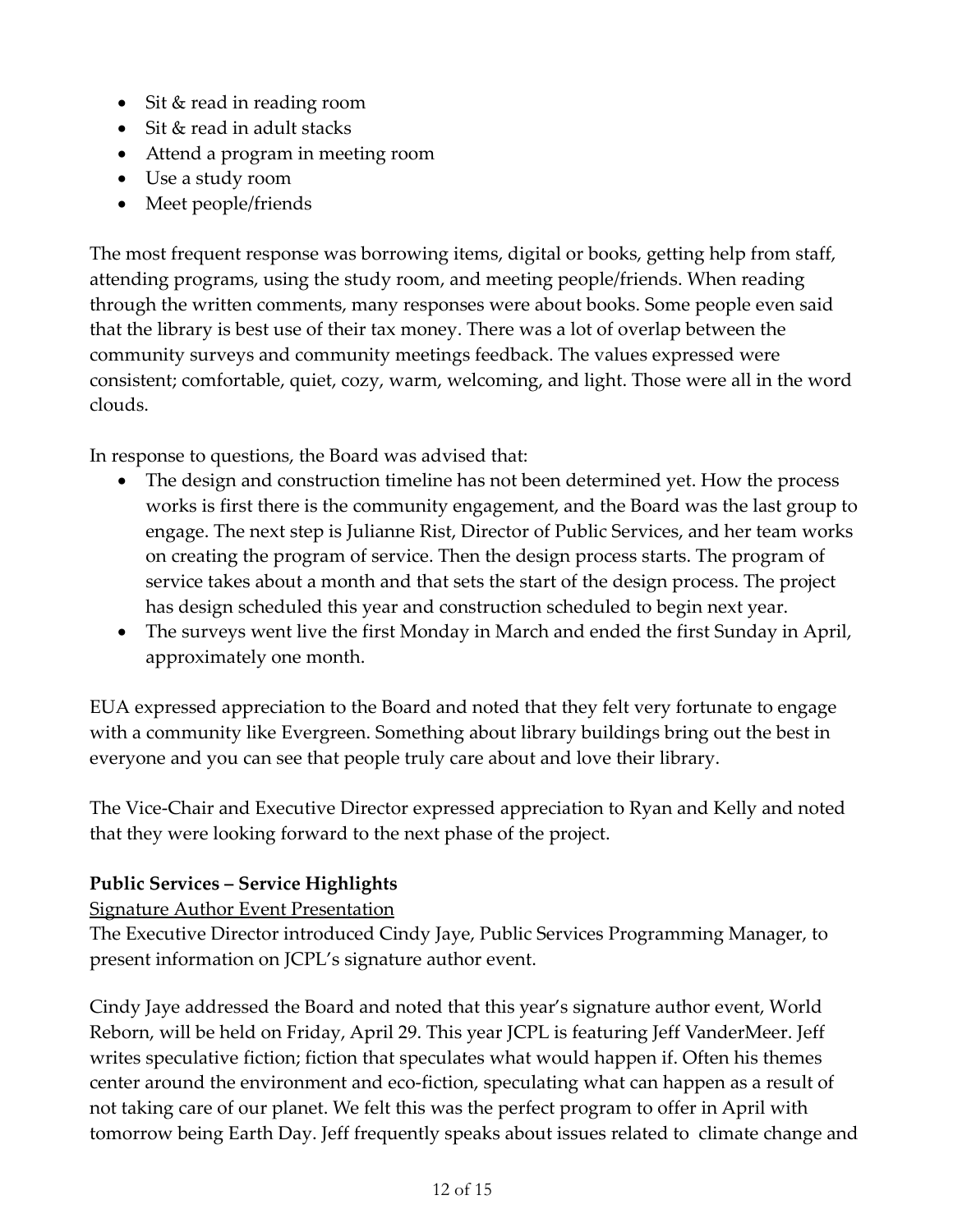- Sit & read in reading room
- Sit & read in adult stacks
- Attend a program in meeting room
- Use a study room
- Meet people/friends

The most frequent response was borrowing items, digital or books, getting help from staff, attending programs, using the study room, and meeting people/friends. When reading through the written comments, many responses were about books. Some people even said that the library is best use of their tax money. There was a lot of overlap between the community surveys and community meetings feedback. The values expressed were consistent; comfortable, quiet, cozy, warm, welcoming, and light. Those were all in the word clouds.

In response to questions, the Board was advised that:

- The design and construction timeline has not been determined yet. How the process works is first there is the community engagement, and the Board was the last group to engage. The next step is Julianne Rist, Director of Public Services, and her team works on creating the program of service. Then the design process starts. The program of service takes about a month and that sets the start of the design process. The project has design scheduled this year and construction scheduled to begin next year.
- The surveys went live the first Monday in March and ended the first Sunday in April, approximately one month.

EUA expressed appreciation to the Board and noted that they felt very fortunate to engage with a community like Evergreen. Something about library buildings bring out the best in everyone and you can see that people truly care about and love their library.

The Vice-Chair and Executive Director expressed appreciation to Ryan and Kelly and noted that they were looking forward to the next phase of the project.

# **Public Services – Service Highlights**

Signature Author Event Presentation

The Executive Director introduced Cindy Jaye, Public Services Programming Manager, to present information on JCPL's signature author event.

Cindy Jaye addressed the Board and noted that this year's signature author event, World Reborn, will be held on Friday, April 29. This year JCPL is featuring Jeff VanderMeer. Jeff writes speculative fiction; fiction that speculates what would happen if. Often his themes center around the environment and eco-fiction, speculating what can happen as a result of not taking care of our planet. We felt this was the perfect program to offer in April with tomorrow being Earth Day. Jeff frequently speaks about issues related to climate change and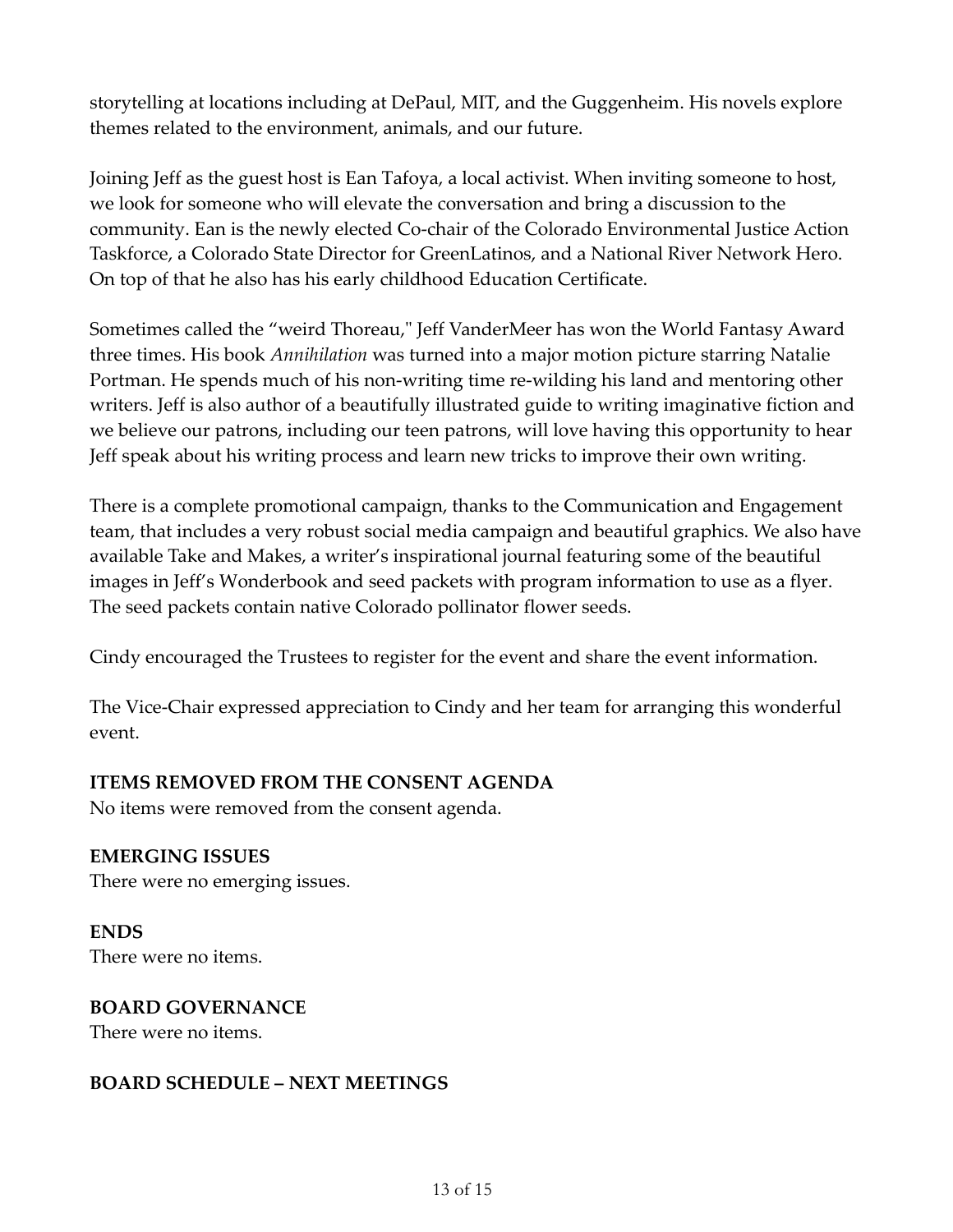storytelling at locations including at DePaul, MIT, and the Guggenheim. His novels explore themes related to the environment, animals, and our future.

Joining Jeff as the guest host is Ean Tafoya, a local activist. When inviting someone to host, we look for someone who will elevate the conversation and bring a discussion to the community. Ean is the newly elected Co-chair of the Colorado Environmental Justice Action Taskforce, a Colorado State Director for GreenLatinos, and a National River Network Hero. On top of that he also has his early childhood Education Certificate.

Sometimes called the "weird Thoreau," Jeff VanderMeer has won the World Fantasy Award three times. His book *Annihilation* was turned into a major motion picture starring Natalie Portman. He spends much of his non-writing time re-wilding his land and mentoring other writers. Jeff is also author of a beautifully illustrated guide to writing imaginative fiction and we believe our patrons, including our teen patrons, will love having this opportunity to hear Jeff speak about his writing process and learn new tricks to improve their own writing.

There is a complete promotional campaign, thanks to the Communication and Engagement team, that includes a very robust social media campaign and beautiful graphics. We also have available Take and Makes, a writer's inspirational journal featuring some of the beautiful images in Jeff's Wonderbook and seed packets with program information to use as a flyer. The seed packets contain native Colorado pollinator flower seeds.

Cindy encouraged the Trustees to register for the event and share the event information.

The Vice-Chair expressed appreciation to Cindy and her team for arranging this wonderful event.

## **ITEMS REMOVED FROM THE CONSENT AGENDA**

No items were removed from the consent agenda.

**EMERGING ISSUES** There were no emerging issues.

**ENDS** There were no items.

**BOARD GOVERNANCE** There were no items.

## **BOARD SCHEDULE – NEXT MEETINGS**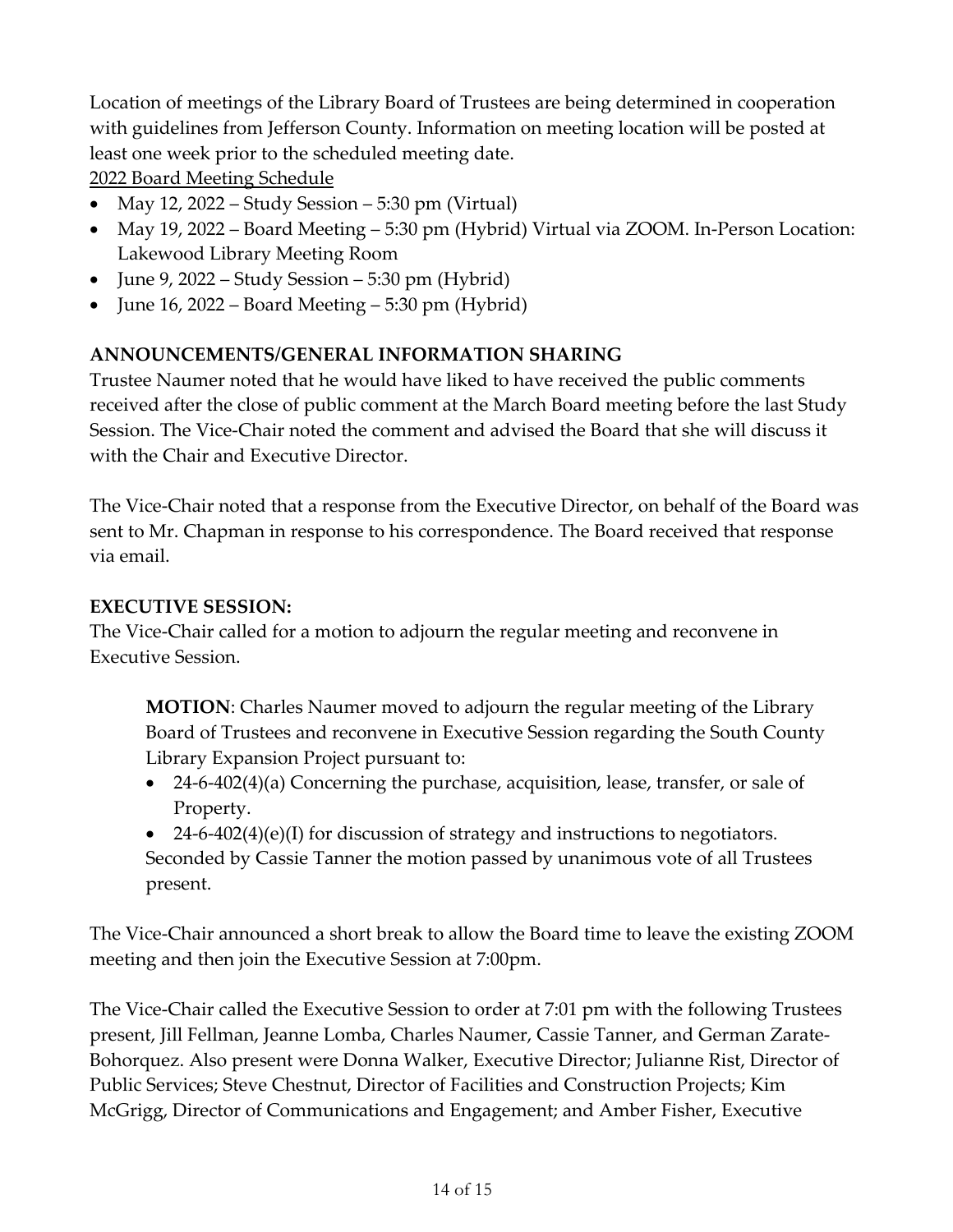Location of meetings of the Library Board of Trustees are being determined in cooperation with guidelines from Jefferson County. Information on meeting location will be posted at least one week prior to the scheduled meeting date.

2022 Board Meeting Schedule

- May 12, 2022 Study Session 5:30 pm (Virtual)
- May 19, 2022 Board Meeting 5:30 pm (Hybrid) Virtual via ZOOM. In-Person Location: Lakewood Library Meeting Room
- June 9, 2022 Study Session 5:30 pm (Hybrid)
- June 16, 2022 Board Meeting 5:30 pm (Hybrid)

# **ANNOUNCEMENTS/GENERAL INFORMATION SHARING**

Trustee Naumer noted that he would have liked to have received the public comments received after the close of public comment at the March Board meeting before the last Study Session. The Vice-Chair noted the comment and advised the Board that she will discuss it with the Chair and Executive Director.

The Vice-Chair noted that a response from the Executive Director, on behalf of the Board was sent to Mr. Chapman in response to his correspondence. The Board received that response via email.

# **EXECUTIVE SESSION:**

The Vice-Chair called for a motion to adjourn the regular meeting and reconvene in Executive Session.

**MOTION**: Charles Naumer moved to adjourn the regular meeting of the Library Board of Trustees and reconvene in Executive Session regarding the South County Library Expansion Project pursuant to:

- 24-6-402(4)(a) Concerning the purchase, acquisition, lease, transfer, or sale of Property.
- 24-6-402(4)(e)(I) for discussion of strategy and instructions to negotiators. Seconded by Cassie Tanner the motion passed by unanimous vote of all Trustees present.

The Vice-Chair announced a short break to allow the Board time to leave the existing ZOOM meeting and then join the Executive Session at 7:00pm.

The Vice-Chair called the Executive Session to order at 7:01 pm with the following Trustees present, Jill Fellman, Jeanne Lomba, Charles Naumer, Cassie Tanner, and German Zarate-Bohorquez. Also present were Donna Walker, Executive Director; Julianne Rist, Director of Public Services; Steve Chestnut, Director of Facilities and Construction Projects; Kim McGrigg, Director of Communications and Engagement; and Amber Fisher, Executive